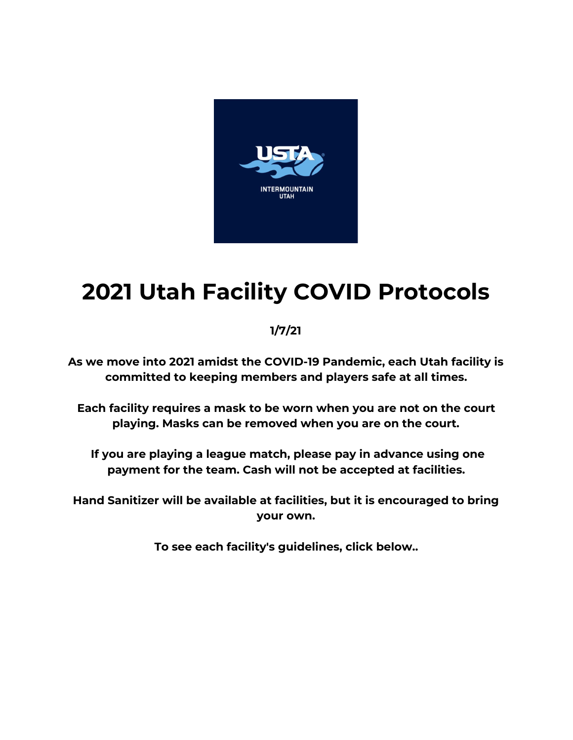

# **2021 Utah Facility COVID Protocols**

# **1/7/21**

**As we move into 2021 amidst the COVID-19 Pandemic, each Utah facility is committed to keeping members and players safe at all times.**

**Each facility requires a mask to be worn when you are not on the court playing. Masks can be removed when you are on the court.**

**If you are playing a league match, please pay in advance using one payment for the team. Cash will not be accepted at facilities.**

**Hand Sanitizer will be available at facilities, but it is encouraged to bring your own.**

**To see each facility's guidelines, click below..**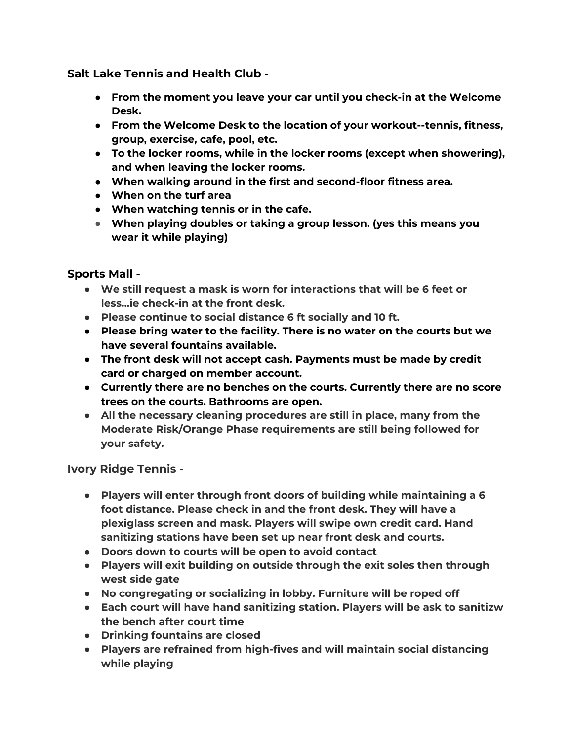**Salt Lake Tennis and Health Club -**

- **● From the moment you leave your car until you check-in at the Welcome Desk.**
- **● From the Welcome Desk to the location of your workout--tennis, fitness, group, exercise, cafe, pool, etc.**
- **● To the locker rooms, while in the locker rooms (except when showering), and when leaving the locker rooms.**
- **● When walking around in the first and second-floor fitness area.**
- **● When on the turf area**
- **● When watching tennis or in the cafe.**
- **● When playing doubles or taking a group lesson. (yes this means you wear it while playing)**

#### **Sports Mall -**

- **● We still request a mask is worn for interactions that will be 6 feet or less...ie check-in at the front desk.**
- **● Please continue to social distance 6 ft socially and 10 ft.**
- **● Please bring water to the facility. There is no water on the courts but we have several fountains available.**
- **● The front desk will not accept cash. Payments must be made by credit card or charged on member account.**
- **● Currently there are no benches on the courts. Currently there are no score trees on the courts. Bathrooms are open.**
- **● All the necessary cleaning procedures are still in place, many from the Moderate Risk/Orange Phase requirements are still being followed for your safety.**

**Ivory Ridge Tennis -**

- **● Players will enter through front doors of building while maintaining a 6 foot distance. Please check in and the front desk. They will have a plexiglass screen and mask. Players will swipe own credit card. Hand sanitizing stations have been set up near front desk and courts.**
- **● Doors down to courts will be open to avoid contact**
- **● Players will exit building on outside through the exit soles then through west side gate**
- **● No congregating or socializing in lobby. Furniture will be roped off**
- **● Each court will have hand sanitizing station. Players will be ask to sanitizw the bench after court time**
- **● Drinking fountains are closed**
- **● Players are refrained from high-fives and will maintain social distancing while playing**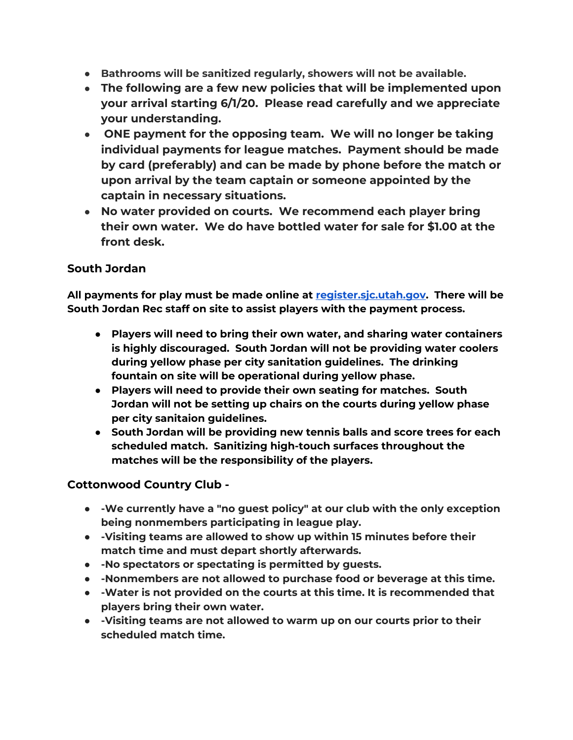- **● Bathrooms will be sanitized regularly, showers will not be available.**
- **● The following are a few new policies that will be implemented upon your arrival starting 6/1/20. Please read carefully and we appreciate your understanding.**
- **● ONE payment for the opposing team. We will no longer be taking individual payments for league matches. Payment should be made by card (preferably) and can be made by phone before the match or upon arrival by the team captain or someone appointed by the captain in necessary situations.**
- **● No water provided on courts. We recommend each player bring their own water. We do have bottled water for sale for \$1.00 at the front desk.**

### **South Jordan**

**All payments for play must be made online at register.sjc.utah.gov. There will be South Jordan Rec staff on site to assist players with the payment process.**

- **● Players will need to bring their own water, and sharing water containers is highly discouraged. South Jordan will not be providing water coolers during yellow phase per city sanitation guidelines. The drinking fountain on site will be operational during yellow phase.**
- **● Players will need to provide their own seating for matches. South Jordan will not be setting up chairs on the courts during yellow phase per city sanitaion guidelines.**
- **● South Jordan will be providing new tennis balls and score trees for each scheduled match. Sanitizing high-touch surfaces throughout the matches will be the responsibility of the players.**

## **Cottonwood Country Club -**

- **● -We currently have a "no guest policy" at our club with the only exception being nonmembers participating in league play.**
- **● -Visiting teams are allowed to show up within 15 minutes before their match time and must depart shortly afterwards.**
- **● -No spectators or spectating is permitted by guests.**
- **● -Nonmembers are not allowed to purchase food or beverage at this time.**
- **● -Water is not provided on the courts at this time. It is recommended that players bring their own water.**
- **● -Visiting teams are not allowed to warm up on our courts prior to their scheduled match time.**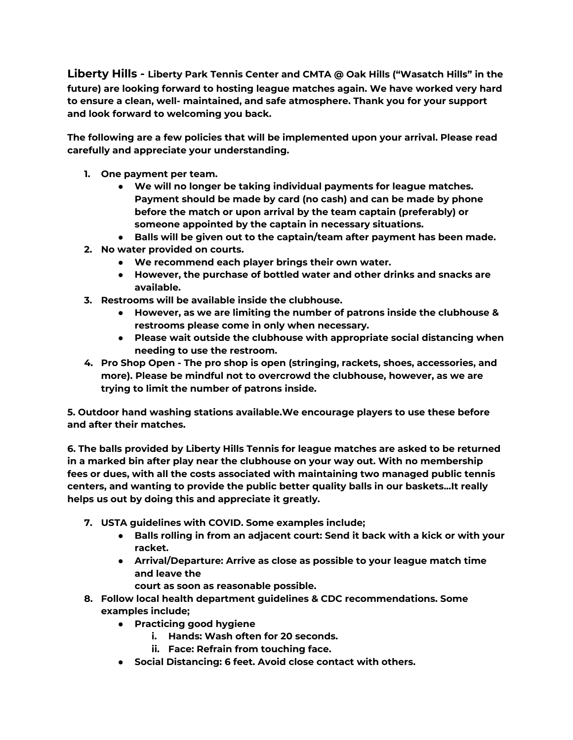**Liberty Hills - Liberty Park Tennis Center and CMTA @ Oak Hills ("Wasatch Hills" in the future) are looking forward to hosting league matches again. We have worked very hard to ensure a clean, well- maintained, and safe atmosphere. Thank you for your support and look forward to welcoming you back.**

**The following are a few policies that will be implemented upon your arrival. Please read carefully and appreciate your understanding.**

- **1. One payment per team.**
	- **● We will no longer be taking individual payments for league matches. Payment should be made by card (no cash) and can be made by phone before the match or upon arrival by the team captain (preferably) or someone appointed by the captain in necessary situations.**
	- **● Balls will be given out to the captain/team after payment has been made.**
- **2. No water provided on courts.**
	- **● We recommend each player brings their own water.**
	- **● However, the purchase of bottled water and other drinks and snacks are available.**
- **3. Restrooms will be available inside the clubhouse.**
	- **● However, as we are limiting the number of patrons inside the clubhouse & restrooms please come in only when necessary.**
	- **● Please wait outside the clubhouse with appropriate social distancing when needing to use the restroom.**
- **4. Pro Shop Open - The pro shop is open (stringing, rackets, shoes, accessories, and more). Please be mindful not to overcrowd the clubhouse, however, as we are trying to limit the number of patrons inside.**

**5. Outdoor hand washing stations available.We encourage players to use these before and after their matches.**

**6. The balls provided by Liberty Hills Tennis for league matches are asked to be returned in a marked bin after play near the clubhouse on your way out. With no membership fees or dues, with all the costs associated with maintaining two managed public tennis centers, and wanting to provide the public better quality balls in our baskets...It really helps us out by doing this and appreciate it greatly.**

- **7. USTA guidelines with COVID. Some examples include;**
	- **● Balls rolling in from an adjacent court: Send it back with a kick or with your racket.**
	- **● Arrival/Departure: Arrive as close as possible to your league match time and leave the**
		- **court as soon as reasonable possible.**
- **8. Follow local health department guidelines & CDC recommendations. Some examples include;**
	- **● Practicing good hygiene**
		- **i. Hands: Wash often for 20 seconds.**
		- **ii. Face: Refrain from touching face.**
	- **● Social Distancing: 6 feet. Avoid close contact with others.**